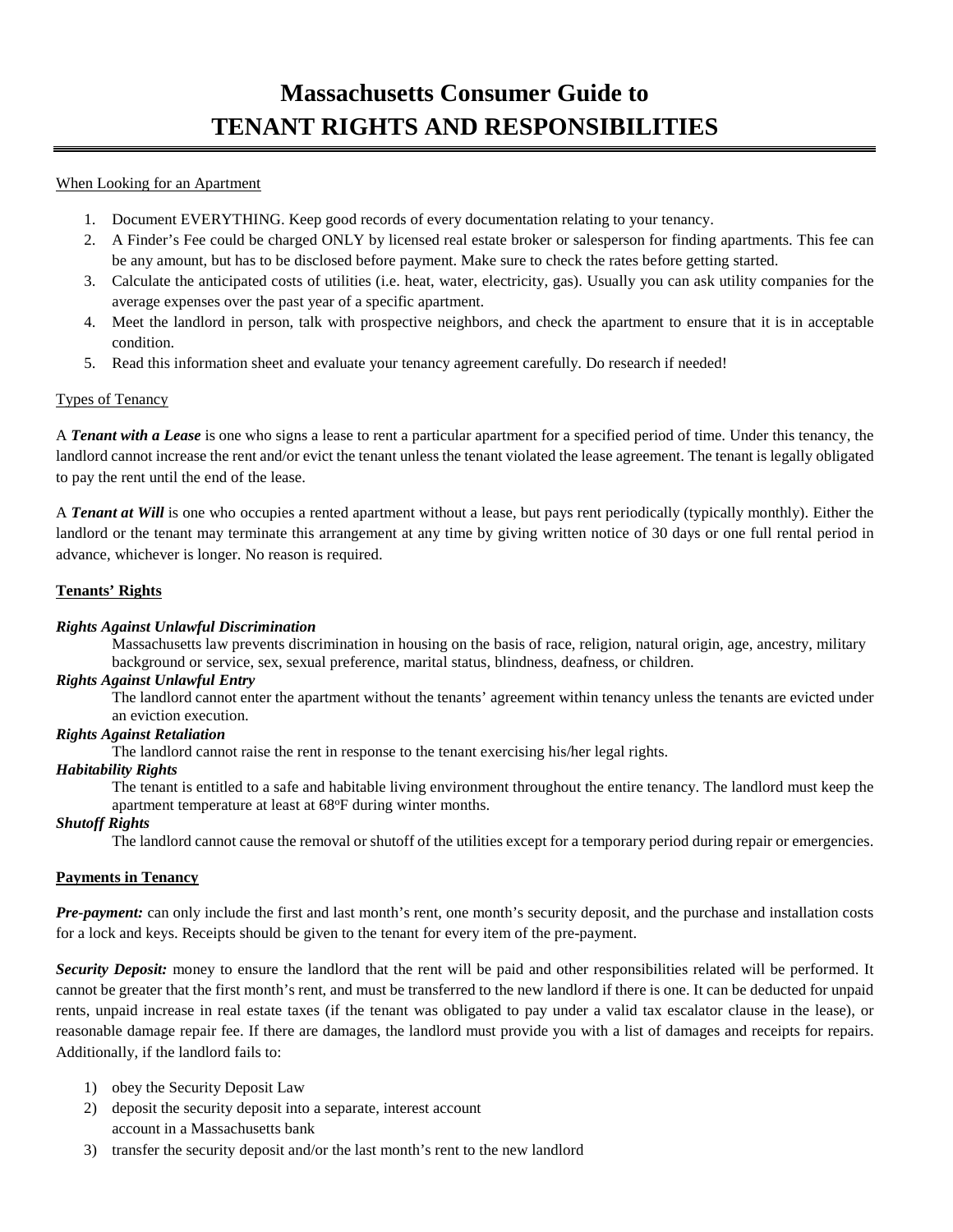# **Massachusetts Consumer Guide to TENANT RIGHTS AND RESPONSIBILITIES**

### When Looking for an Apartment

- 1. Document EVERYTHING. Keep good records of every documentation relating to your tenancy.
- 2. A Finder's Fee could be charged ONLY by licensed real estate broker or salesperson for finding apartments. This fee can be any amount, but has to be disclosed before payment. Make sure to check the rates before getting started.
- 3. Calculate the anticipated costs of utilities (i.e. heat, water, electricity, gas). Usually you can ask utility companies for the average expenses over the past year of a specific apartment.
- 4. Meet the landlord in person, talk with prospective neighbors, and check the apartment to ensure that it is in acceptable condition.
- 5. Read this information sheet and evaluate your tenancy agreement carefully. Do research if needed!

# Types of Tenancy

A *Tenant with a Lease* is one who signs a lease to rent a particular apartment for a specified period of time. Under this tenancy, the landlord cannot increase the rent and/or evict the tenant unless the tenant violated the lease agreement. The tenant is legally obligated to pay the rent until the end of the lease.

A *Tenant at Will* is one who occupies a rented apartment without a lease, but pays rent periodically (typically monthly). Either the landlord or the tenant may terminate this arrangement at any time by giving written notice of 30 days or one full rental period in advance, whichever is longer. No reason is required.

# **Tenants' Rights**

#### *Rights Against Unlawful Discrimination*

Massachusetts law prevents discrimination in housing on the basis of race, religion, natural origin, age, ancestry, military background or service, sex, sexual preference, marital status, blindness, deafness, or children.

#### *Rights Against Unlawful Entry*

The landlord cannot enter the apartment without the tenants' agreement within tenancy unless the tenants are evicted under an eviction execution.

#### *Rights Against Retaliation*

The landlord cannot raise the rent in response to the tenant exercising his/her legal rights.

#### *Habitability Rights*

The tenant is entitled to a safe and habitable living environment throughout the entire tenancy. The landlord must keep the apartment temperature at least at 68°F during winter months.

#### *Shutoff Rights*

The landlord cannot cause the removal or shutoff of the utilities except for a temporary period during repair or emergencies.

# **Payments in Tenancy**

*Pre-payment:* can only include the first and last month's rent, one month's security deposit, and the purchase and installation costs for a lock and keys. Receipts should be given to the tenant for every item of the pre-payment.

*Security Deposit:* money to ensure the landlord that the rent will be paid and other responsibilities related will be performed. It cannot be greater that the first month's rent, and must be transferred to the new landlord if there is one. It can be deducted for unpaid rents, unpaid increase in real estate taxes (if the tenant was obligated to pay under a valid tax escalator clause in the lease), or reasonable damage repair fee. If there are damages, the landlord must provide you with a list of damages and receipts for repairs. Additionally, if the landlord fails to:

- 1) obey the Security Deposit Law
- 2) deposit the security deposit into a separate, interest account account in a Massachusetts bank
- 3) transfer the security deposit and/or the last month's rent to the new landlord